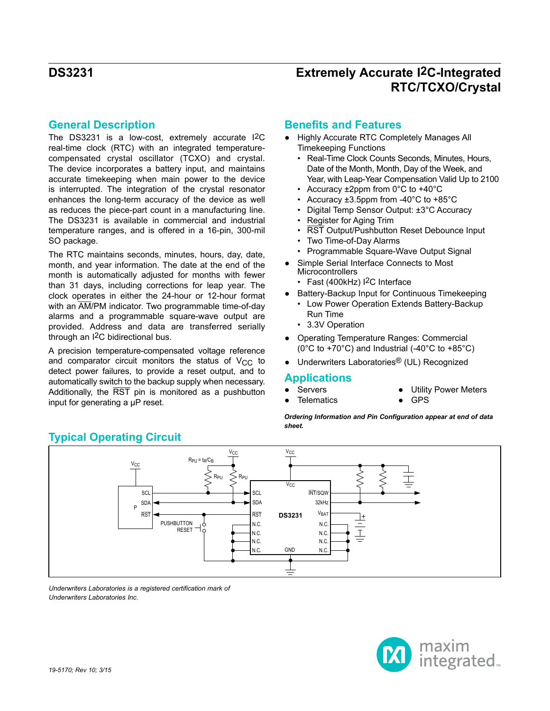### **General Description**

The DS3231 is a low-cost, extremely accurate I2C real-time clock (RTC) with an integrated temperaturecompensated crystal oscillator (TCXO) and crystal. The device incorporates a battery input, and maintains accurate timekeeping when main power to the device is interrupted. The integration of the crystal resonator enhances the long-term accuracy of the device as well as reduces the piece-part count in a manufacturing line. The DS3231 is available in commercial and industrial temperature ranges, and is offered in a 16-pin, 300-mil SO package.

The RTC maintains seconds, minutes, hours, day, date, month, and year information. The date at the end of the month is automatically adjusted for months with fewer than 31 days, including corrections for leap year. The clock operates in either the 24-hour or 12-hour format with an  $\overline{AM}/PM$  indicator. Two programmable time-of-day alarms and a programmable square-wave output are provided. Address and data are transferred serially through an I2C bidirectional bus.

A precision temperature-compensated voltage reference and comparator circuit monitors the status of  $V_{CC}$  to detect power failures, to provide a reset output, and to automatically switch to the backup supply when necessary. Additionally, the RST pin is monitored as a pushbutton input for generating a μP reset.

### **Benefits and Features**

- Highly Accurate RTC Completely Manages All Timekeeping Functions
	- Real-Time Clock Counts Seconds, Minutes, Hours, Date of the Month, Month, Day of the Week, and Year, with Leap-Year Compensation Valid Up to 2100
	- Accuracy ±2ppm from 0°C to +40°C
	- Accuracy ±3.5ppm from -40°C to +85°C
	- Digital Temp Sensor Output: ±3°C Accuracy
	- Register for Aging Trim
	- RST Output/Pushbutton Reset Debounce Input
	- Two Time-of-Day Alarms
	- Programmable Square-Wave Output Signal
	- Simple Serial Interface Connects to Most **Microcontrollers** 
		- Fast (400kHz) <sup>2</sup>C Interface
	- Battery-Backup Input for Continuous Timekeeping
	- Low Power Operation Extends Battery-Backup Run Time
	- 3.3V Operation
- Operating Temperature Ranges: Commercial ( $0^{\circ}$ C to +70 $^{\circ}$ C) and Industrial (-40 $^{\circ}$ C to +85 $^{\circ}$ C)
- Underwriters Laboratories<sup>®</sup> (UL) Recognized

### **Applications**

- Servers
- **Telematics**
- **Utility Power Meters**
- **GPS**

*Ordering Information and Pin Configuration appear at end of data sheet.*



*Underwriters Laboratories is a registered certification mark of Underwriters Laboratories Inc.*

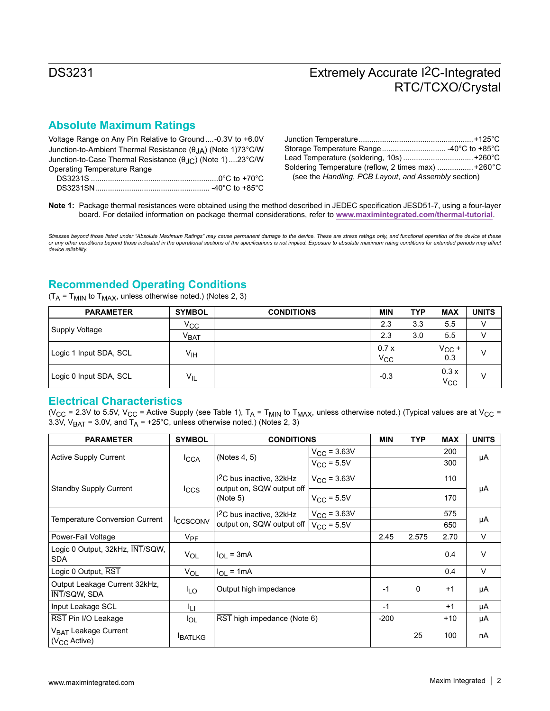## **Absolute Maximum Ratings**

Voltage Range on Any Pin Relative to Ground....-0.3V to +6.0V Junction-to-Ambient Thermal Resistance (θJA) (Note 1)73°C/W Junction-to-Case Thermal Resistance (θJC) (Note 1)....23°C/W Operating Temperature Range

| DS3231S.<br>)…………………………………………………0°C to +70°C      |  |
|---------------------------------------------------|--|
| -40 $^{\circ}$ C to +85 $^{\circ}$ C<br>DS3231SN. |  |

| Soldering Temperature (reflow, 2 times max) +260°C   |  |
|------------------------------------------------------|--|
| (see the Handling, PCB Layout, and Assembly section) |  |

**Note 1:** Package thermal resistances were obtained using the method described in JEDEC specification JESD51-7, using a four-layer board. For detailed information on package thermal considerations, refer to **[www.maximintegrated.com/thermal-tutorial](http://www.maximintegrated.com/thermal-tutorial)**.

*Stresses beyond those listed under "Absolute Maximum Ratings" may cause permanent damage to the device. These are stress ratings only, and functional operation of the device at these*  or any other conditions beyond those indicated in the operational sections of the specifications is not implied. Exposure to absolute maximum rating conditions for extended periods may affect<br>device reliability.

## **Recommended Operating Conditions**

 $(T_A = T_{MIN}$  to  $T_{MAX}$ , unless otherwise noted.) (Notes 2, 3)

| <b>PARAMETER</b>       | <b>SYMBOL</b>    | <b>CONDITIONS</b> | <b>MIN</b>       | <b>TYP</b> | <b>MAX</b>           | <b>UNITS</b> |
|------------------------|------------------|-------------------|------------------|------------|----------------------|--------------|
|                        | Vcc              |                   | 2.3              | 3.3        | 5.5                  | V            |
| Supply Voltage         | V <sub>BAT</sub> |                   | 2.3              | 3.0        | 5.5                  | V            |
| Logic 1 Input SDA, SCL | ۷ін              |                   | 0.7x<br>$V_{CC}$ |            | $V_{CC}$ +<br>0.3    | V            |
| Logic 0 Input SDA, SCL | $V_{IL}$         |                   | $-0.3$           |            | 0.3x<br>$V_{\rm CC}$ | V            |

#### **Electrical Characteristics**

(V<sub>CC</sub> = 2.3V to 5.5V, V<sub>CC</sub> = Active Supply (see Table 1),  $T_A = T_{MIN}$  to  $T_{MAX}$ , unless otherwise noted.) (Typical values are at V<sub>CC</sub> = 3.3V,  $V_{BAT}$  = 3.0V, and  $T_A$  = +25°C, unless otherwise noted.) (Notes 2, 3)

| <b>PARAMETER</b>                                             | <b>SYMBOL</b><br><b>CONDITIONS</b> |                                                        |                         |          | <b>TYP</b> | <b>MAX</b> | <b>UNITS</b> |  |
|--------------------------------------------------------------|------------------------------------|--------------------------------------------------------|-------------------------|----------|------------|------------|--------------|--|
|                                                              |                                    |                                                        | $V_{\text{CC}} = 3.63V$ |          |            | 200        |              |  |
| <b>Active Supply Current</b>                                 | <b>ICCA</b>                        | (Notes 4, 5)                                           | $V_{CC}$ = 5.5V         |          |            | 300        | μA           |  |
| <b>Standby Supply Current</b>                                |                                    | $12C$ bus inactive, 32kHz<br>output on, SQW output off | $V_{\rm CC} = 3.63V$    |          |            | 110        |              |  |
|                                                              | <b>Iccs</b>                        | (Note 5)                                               | $V_{CC}$ = 5.5V         |          |            | 170        | μA           |  |
| <b>Temperature Conversion Current</b>                        |                                    | I <sup>2</sup> C bus inactive, 32kHz                   | $V_{CC} = 3.63V$        |          |            | 575        |              |  |
|                                                              | <b>ICCSCONV</b>                    | output on, SQW output off                              | $V_{\rm CC}$ = 5.5V     |          |            | 650        | μA           |  |
| Power-Fail Voltage                                           | <b>V<sub>PF</sub></b>              |                                                        |                         | 2.45     | 2.575      | 2.70       | $\vee$       |  |
| Logic 0 Output, 32kHz, INT/SQW,<br><b>SDA</b>                | VOL                                | $I_{\Omega}$ = 3mA                                     |                         |          |            | 0.4        | $\vee$       |  |
| Logic 0 Output, RST                                          | $V_{OL}$                           | $I_{OL}$ = 1mA                                         |                         |          |            | 0.4        | $\vee$       |  |
| Output Leakage Current 32kHz,<br>INT/SQW, SDA                | <sup>I</sup> LO                    | Output high impedance                                  | $-1$                    | $\Omega$ | $+1$       | μA         |              |  |
| Input Leakage SCL                                            | ۱۱                                 |                                                        |                         | $-1$     |            | $+1$       | μA           |  |
| RST Pin I/O Leakage                                          | <b>I</b> OL                        | RST high impedance (Note 6)                            | $-200$                  |          | $+10$      | μA         |              |  |
| V <sub>BAT</sub> Leakage Current<br>(V <sub>CC</sub> Active) | <b>BATLKG</b>                      |                                                        |                         |          | 25         | 100        | nA           |  |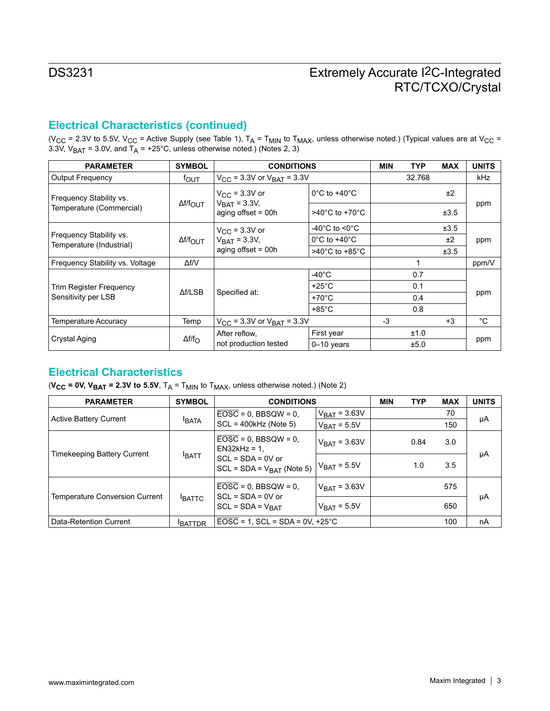## **Electrical Characteristics (continued)**

(V<sub>CC</sub> = 2.3V to 5.5V, V<sub>CC</sub> = Active Supply (see Table 1), T<sub>A</sub> = T<sub>MIN</sub> to T<sub>MAX</sub>, unless otherwise noted.) (Typical values are at V<sub>CC</sub> = 3.3V, V<sub>BAT</sub> = 3.0V, and T<sub>A</sub> = +25°C, unless otherwise noted.) (Notes 2, 3)

| <b>PARAMETER</b>                                    | <b>SYMBOL</b>          | <b>CONDITIONS</b>                                  |                                     |      | <b>TYP</b> | <b>MAX</b> | <b>UNITS</b> |  |
|-----------------------------------------------------|------------------------|----------------------------------------------------|-------------------------------------|------|------------|------------|--------------|--|
| <b>Output Frequency</b>                             | <sup>f</sup> out       | $V_{\text{CC}}$ = 3.3V or $V_{\text{BAT}}$ = 3.3V  |                                     |      | 32.768     |            | kHz          |  |
| Frequency Stability vs.                             | Δf/f <sub>OUT</sub>    | $V_{\rm CC}$ = 3.3V or<br>$V_{\text{BAT}} = 3.3V,$ | $0^{\circ}$ C to +40 $^{\circ}$ C   |      |            | ±2         | ppm          |  |
| Temperature (Commercial)                            |                        | aging offset $=$ 00h                               | $>40^{\circ}$ C to +70 $^{\circ}$ C |      |            | ±3.5       |              |  |
|                                                     |                        | $V_{\rm CC}$ = 3.3V or                             | -40°C to <0°C                       |      |            | ±3.5       |              |  |
| Frequency Stability vs.<br>Temperature (Industrial) | $\Delta f/f_{\rm OUT}$ | $V_{\text{BAT}} = 3.3V,$                           | $0^{\circ}$ C to +40 $^{\circ}$ C   |      |            | ±2         | ppm          |  |
|                                                     |                        | aging offset $= 00h$                               | $>40^{\circ}$ C to +85 $^{\circ}$ C |      |            | ±3.5       |              |  |
| Frequency Stability vs. Voltage                     | $\Delta f/V$           |                                                    |                                     |      |            |            | ppm/V        |  |
|                                                     |                        |                                                    | $-40^{\circ}$ C                     |      | 0.7        |            |              |  |
| Trim Register Frequency                             | $\Delta f / LSB$       |                                                    | $+25^{\circ}$ C                     |      | 0.1        |            |              |  |
| Sensitivity per LSB                                 |                        | Specified at:                                      | $+70^{\circ}$ C                     |      | 0.4        |            | ppm          |  |
|                                                     |                        |                                                    | $+85^{\circ}$ C                     |      | 0.8        |            |              |  |
| Temperature Accuracy                                | Temp                   | $V_{\text{CC}}$ = 3.3V or $V_{\text{BAT}}$ = 3.3V  |                                     | $-3$ |            | $+3$       | °C           |  |
|                                                     |                        | After reflow,                                      | First year                          |      | ±1.0       |            |              |  |
| Crystal Aging                                       | $\Delta f/f_{\rm O}$   | not production tested                              | $0-10$ years                        |      | ±5.0       |            | ppm          |  |

### **Electrical Characteristics**

( $V_{CC}$  = 0V,  $V_{BAT}$  = 2.3V to 5.5V,  $T_A = T_{MIN}$  to  $T_{MAX}$ , unless otherwise noted.) (Note 2)

| <b>PARAMETER</b>                      | <b>SYMBOL</b> | <b>CONDITIONS</b>                                     |                          | <b>MIN</b> | <b>TYP</b> | <b>MAX</b> | <b>UNITS</b> |
|---------------------------------------|---------------|-------------------------------------------------------|--------------------------|------------|------------|------------|--------------|
| Active Battery Current                |               | $\overline{EOSC}$ = 0, BBSQW = 0,                     | $V_{\text{BAT}}$ = 3.63V |            |            | 70         | μA           |
|                                       | <b>BATA</b>   | $SCL = 400kHz$ (Note 5)                               | $V_{\text{BAT}} = 5.5V$  |            |            | 150        |              |
| Timekeeping Battery Current           |               | $EOSC = 0$ , BBSQW = 0,<br>$EN32kHz = 1$ .            | $V_{BAT} = 3.63V$        |            | 0.84       | 3.0        |              |
|                                       | <b>BATT</b>   | $SCL = SDA = 0V$ or<br>SCL = SDA = $V_{BAT}$ (Note 5) | $V_{\text{BAT}} = 5.5V$  |            | 1.0        | 3.5        | μA           |
| <b>Temperature Conversion Current</b> |               | $EOSC = 0$ , BBSQW = 0.<br>$SCL = SDA = 0V$ or        | $V_{\text{BAT}}$ = 3.63V |            |            | 575        |              |
|                                       | <b>BATTC</b>  | $SCL = SDA = VBAT$                                    | $V_{\text{BAT}} = 5.5V$  |            |            | 650        | μA           |
| Data-Retention Current                | <b>BATTDR</b> | $EOSC = 1$ , $SCL = SDA = 0V$ , $+25^{\circ}C$        |                          |            | 100        | nA         |              |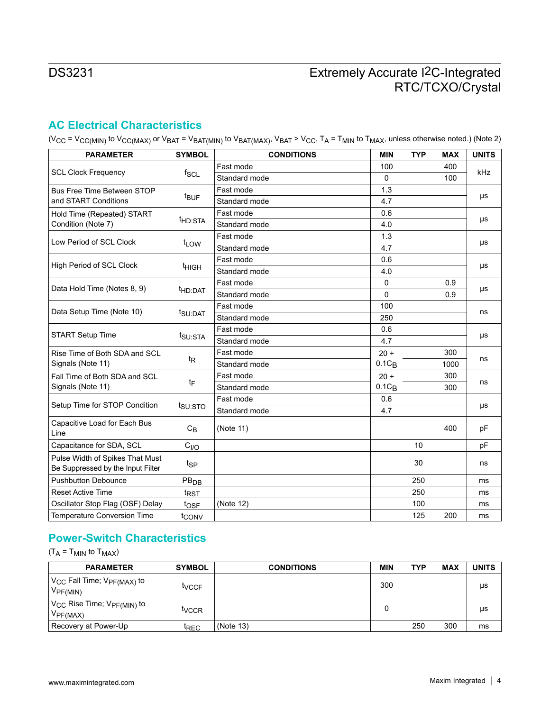## **AC Electrical Characteristics**

(V<sub>CC</sub> = V<sub>CC(MIN)</sub> to V<sub>CC(MAX)</sub> or V<sub>BAT</sub> = V<sub>BAT(MIN)</sub> to V<sub>BAT(MAX)</sub>, V<sub>BAT</sub> > V<sub>CC</sub>, T<sub>A</sub> = T<sub>MIN</sub> to T<sub>MAX</sub>, unless otherwise noted.) (Note 2)

| <b>PARAMETER</b>                                                     | <b>SYMBOL</b>       | <b>CONDITIONS</b> | <b>MIN</b> | <b>TYP</b> | <b>MAX</b> | <b>UNITS</b> |  |  |  |  |
|----------------------------------------------------------------------|---------------------|-------------------|------------|------------|------------|--------------|--|--|--|--|
|                                                                      |                     | Fast mode         | 100        |            | 400        | kHz          |  |  |  |  |
| <b>SCL Clock Frequency</b>                                           | $f_{SCL}$           | Standard mode     | 0          |            | 100        |              |  |  |  |  |
| <b>Bus Free Time Between STOP</b>                                    |                     | Fast mode         | 1.3        |            |            |              |  |  |  |  |
| and START Conditions                                                 | <sup>t</sup> BUF    | Standard mode     | 4.7        |            |            | μs           |  |  |  |  |
| Hold Time (Repeated) START                                           |                     | Fast mode         | 0.6        |            |            |              |  |  |  |  |
| Condition (Note 7)                                                   | <sup>t</sup> HD:STA | Standard mode     | 4.0        |            |            | μs           |  |  |  |  |
| Low Period of SCL Clock                                              |                     | Fast mode         | 1.3        |            |            |              |  |  |  |  |
|                                                                      | t <sub>LOW</sub>    | Standard mode     | 4.7        |            |            | μs           |  |  |  |  |
| High Period of SCL Clock                                             |                     | Fast mode         | 0.6        |            |            |              |  |  |  |  |
|                                                                      | <sup>t</sup> HIGH   | Standard mode     | 4.0        |            |            | μs           |  |  |  |  |
| Data Hold Time (Notes 8, 9)                                          |                     | Fast mode         | 0          |            | 0.9        |              |  |  |  |  |
|                                                                      | <sup>t</sup> HD:DAT | Standard mode     | $\Omega$   |            | 0.9        | μs           |  |  |  |  |
| Data Setup Time (Note 10)                                            | t <sub>SU:DAT</sub> | Fast mode         | 100        |            |            | ns           |  |  |  |  |
|                                                                      |                     | Standard mode     | 250        |            |            |              |  |  |  |  |
| <b>START Setup Time</b>                                              | t <sub>SU:STA</sub> | Fast mode         | 0.6        |            |            | μs           |  |  |  |  |
|                                                                      |                     | Standard mode     | 4.7        |            |            |              |  |  |  |  |
| Rise Time of Both SDA and SCL                                        |                     | Fast mode         | $20 +$     |            | 300        | ns           |  |  |  |  |
| Signals (Note 11)                                                    | t <sub>R</sub>      | Standard mode     | $0.1C_B$   |            | 1000       |              |  |  |  |  |
| Fall Time of Both SDA and SCL                                        |                     | Fast mode         | $20 +$     |            | 300        | ns           |  |  |  |  |
| Signals (Note 11)                                                    | tF                  | Standard mode     | $0.1C_B$   |            | 300        |              |  |  |  |  |
| Setup Time for STOP Condition                                        |                     | Fast mode         | 0.6        |            |            | μs           |  |  |  |  |
|                                                                      | t <sub>SU:STO</sub> | Standard mode     | 4.7        |            |            |              |  |  |  |  |
| Capacitive Load for Each Bus<br>Line                                 | $C_B$               | (Note 11)         |            |            | 400        | pF           |  |  |  |  |
| Capacitance for SDA, SCL<br>C <sub>I/O</sub>                         |                     |                   |            | 10         |            | pF           |  |  |  |  |
| Pulse Width of Spikes That Must<br>Be Suppressed by the Input Filter | tsp                 |                   |            | 30         |            | ns           |  |  |  |  |
| <b>Pushbutton Debounce</b>                                           | PB <sub>DB</sub>    |                   |            | 250        |            | ms           |  |  |  |  |
| <b>Reset Active Time</b>                                             | t <sub>RST</sub>    |                   |            | 250        |            | ms           |  |  |  |  |
| Oscillator Stop Flag (OSF) Delay                                     | tosF                | (Note 12)         |            | 100        |            | ms           |  |  |  |  |
| <b>Temperature Conversion Time</b><br>tconv                          |                     |                   |            | 125        | 200        | ms           |  |  |  |  |

## **Power-Switch Characteristics**

 $(T_A = T_{MIN}$  to  $T_{MAX}$ )

| <b>PARAMETER</b>                                                     | <b>SYMBOL</b>    | <b>CONDITIONS</b> | MIN | TYP | <b>MAX</b> | <b>UNITS</b> |
|----------------------------------------------------------------------|------------------|-------------------|-----|-----|------------|--------------|
| $ V_{\text{CC}}$ Fall Time; $V_{\text{PF(MAX)}}$ to<br>$V_{PF(MIN)}$ | tvccF            |                   | 300 |     |            | μs           |
| $V_{CC}$ Rise Time; $V_{PF(MIN)}$ to<br>$V_{PF(MAX)}$                | WCCR             |                   | 0   |     |            | μs           |
| Recovery at Power-Up                                                 | <sup>I</sup> REC | (Note 13)         |     | 250 | 300        | ms           |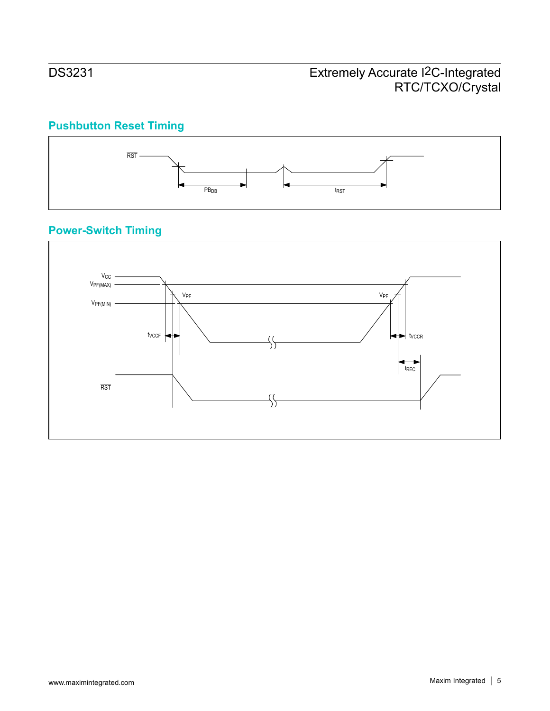# **Pushbutton Reset Timing**



# **Power-Switch Timing**

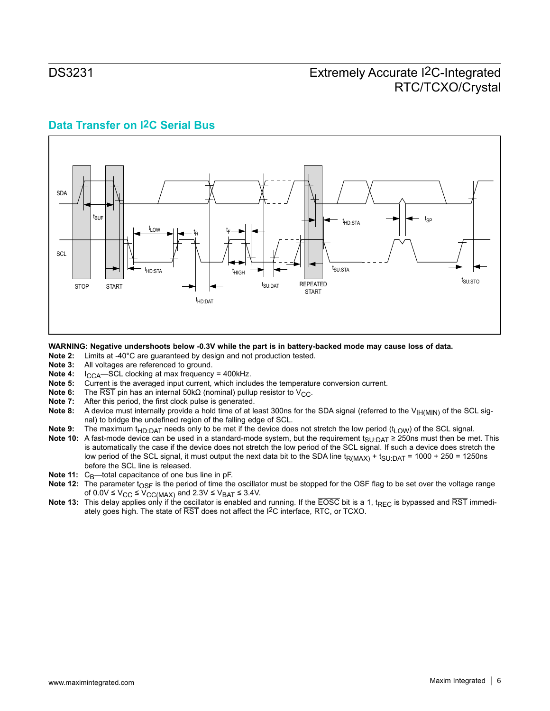## **Data Transfer on I2C Serial Bus**



# WARNING: Negative undershoots below -0.3V while the part is in battery-backed mode may cause loss of data.<br>Note 2: Limits at -40°C are quaranteed by design and not production tested.

- **Note 2:** Limits at -40°C are guaranteed by design and not production tested.<br>**Note 3:** All voltages are referenced to ground.
- **Note 3:** All voltages are referenced to ground.<br>**Note 4:** I<sub>CCA</sub>-SCL clocking at max frequency
- **Note 4:** I<sub>CCA</sub>—SCL clocking at max frequency = 400kHz.<br>**Note 5:** Current is the averaged input current, which inclu
- **Note 5:** Current is the averaged input current, which includes the temperature conversion current.
- **Note 6:** The  $\overline{\text{RST}}$  pin has an internal 50k $\Omega$  (nominal) pullup resistor to V<sub>CC</sub>.<br>**Note 7:** After this period, the first clock pulse is generated.
- **Note 7:** After this period, the first clock pulse is generated.<br>**Note 8:** A device must internally provide a hold time of at le
- A device must internally provide a hold time of at least 300ns for the SDA signal (referred to the V<sub>IH(MIN)</sub> of the SCL signal) to bridge the undefined region of the falling edge of SCL.
- Note 9: The maximum t<sub>HD:DAT</sub> needs only to be met if the device does not stretch the low period (t<sub>LOW</sub>) of the SCL signal.
- **Note 10:** A fast-mode device can be used in a standard-mode system, but the requirement t<sub>SU:DAT</sub> ≥ 250ns must then be met. This is automatically the case if the device does not stretch the low period of the SCL signal. If such a device does stretch the low period of the SCL signal, it must output the next data bit to the SDA line t<sub>R(MAX)</sub> + t<sub>SU:DAT</sub> = 1000 + 250 = 1250ns before the SCL line is released.
- **Note 11:** C<sub>B</sub>—total capacitance of one bus line in pF.
- Note 12: The parameter t<sub>OSF</sub> is the period of time the oscillator must be stopped for the OSF flag to be set over the voltage range of  $0.0V \le V_{CC} \le V_{CC(MAX)}$  and  $2.3V \le V_{BAT} \le 3.4V$ .
- **Note 13:** This delay applies only if the oscillator is enabled and running. If the  $\overline{EOSC}$  bit is a 1, t<sub>REC</sub> is bypassed and  $\overline{RST}$  immediately goes high. The state of RST does not affect the I2C interface, RTC, or TCXO.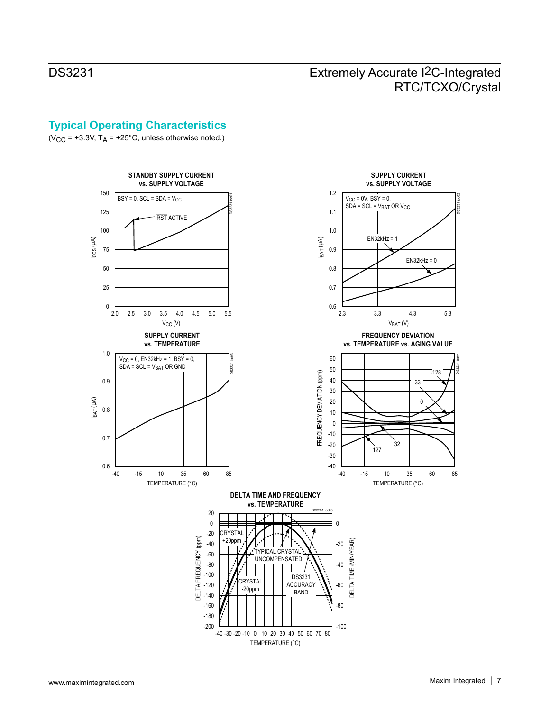## **Typical Operating Characteristics**

( $V_{CC}$  = +3.3V,  $T_A$  = +25°C, unless otherwise noted.)

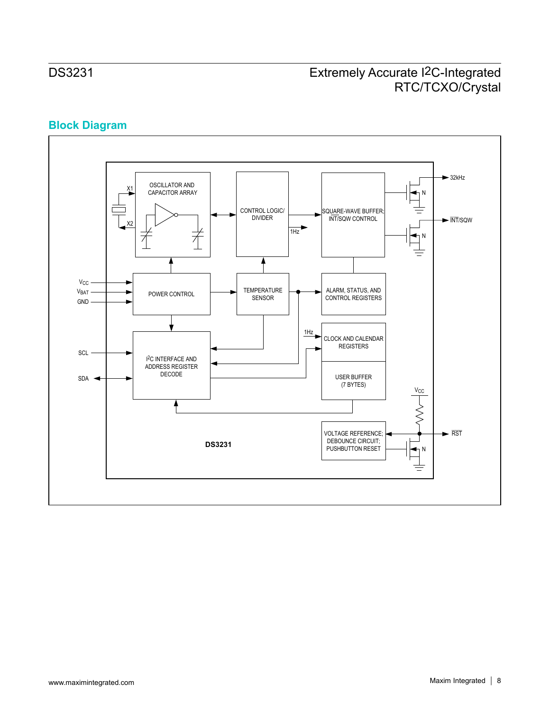## **Block Diagram**

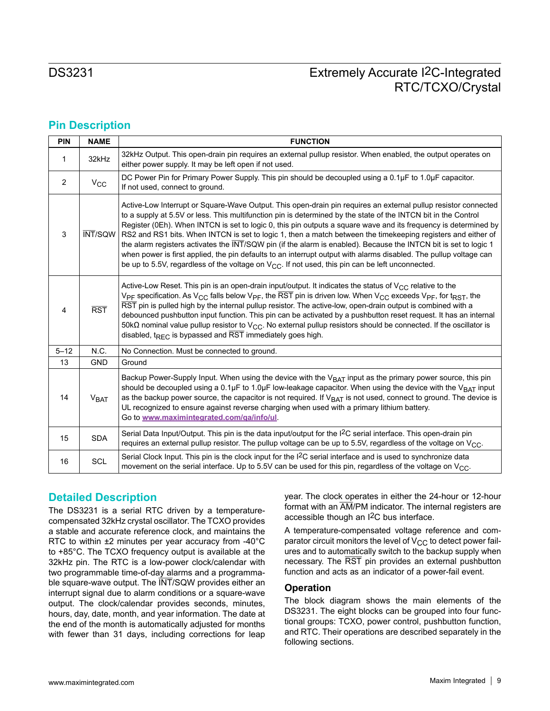## **Pin Description**

| PIN      | <b>NAME</b>             | <b>FUNCTION</b>                                                                                                                                                                                                                                                                                                                                                                                                                                                                                                                                                                                                                                                                                                                                                                                                       |
|----------|-------------------------|-----------------------------------------------------------------------------------------------------------------------------------------------------------------------------------------------------------------------------------------------------------------------------------------------------------------------------------------------------------------------------------------------------------------------------------------------------------------------------------------------------------------------------------------------------------------------------------------------------------------------------------------------------------------------------------------------------------------------------------------------------------------------------------------------------------------------|
| 1        | 32kHz                   | 32kHz Output. This open-drain pin requires an external pullup resistor. When enabled, the output operates on<br>either power supply. It may be left open if not used.                                                                                                                                                                                                                                                                                                                                                                                                                                                                                                                                                                                                                                                 |
| 2        | $V_{CC}$                | DC Power Pin for Primary Power Supply. This pin should be decoupled using a 0.1µF to 1.0µF capacitor.<br>If not used, connect to ground.                                                                                                                                                                                                                                                                                                                                                                                                                                                                                                                                                                                                                                                                              |
| 3        | <b>INT/SQW</b>          | Active-Low Interrupt or Square-Wave Output. This open-drain pin requires an external pullup resistor connected<br>to a supply at 5.5V or less. This multifunction pin is determined by the state of the INTCN bit in the Control<br>Register (0Eh). When INTCN is set to logic 0, this pin outputs a square wave and its frequency is determined by<br>RS2 and RS1 bits. When INTCN is set to logic 1, then a match between the timekeeping registers and either of<br>the alarm registers activates the INT/SQW pin (if the alarm is enabled). Because the INTCN bit is set to logic 1<br>when power is first applied, the pin defaults to an interrupt output with alarms disabled. The pullup voltage can<br>be up to 5.5V, regardless of the voltage on $V_{CC}$ . If not used, this pin can be left unconnected. |
| 4        | $\overline{\text{RST}}$ | Active-Low Reset. This pin is an open-drain input/output. It indicates the status of $V_{CC}$ relative to the<br>V <sub>PF</sub> specification. As V <sub>CC</sub> falls below V <sub>PF</sub> , the RST pin is driven low. When V <sub>CC</sub> exceeds V <sub>PF</sub> , for t <sub>RST</sub> , the<br>RST pin is pulled high by the internal pullup resistor. The active-low, open-drain output is combined with a<br>debounced pushbutton input function. This pin can be activated by a pushbutton reset request. It has an internal<br>50k $\Omega$ nominal value pullup resistor to V <sub>CC</sub> . No external pullup resistors should be connected. If the oscillator is<br>disabled, $t_{RFC}$ is bypassed and $\overline{RST}$ immediately goes high.                                                    |
| $5 - 12$ | N.C.                    | No Connection. Must be connected to ground.                                                                                                                                                                                                                                                                                                                                                                                                                                                                                                                                                                                                                                                                                                                                                                           |
| 13       | <b>GND</b>              | Ground                                                                                                                                                                                                                                                                                                                                                                                                                                                                                                                                                                                                                                                                                                                                                                                                                |
| 14       | V <sub>BAT</sub>        | Backup Power-Supply Input. When using the device with the $V_{BAT}$ input as the primary power source, this pin<br>should be decoupled using a 0.1µF to 1.0µF low-leakage capacitor. When using the device with the V <sub>BAT</sub> input<br>as the backup power source, the capacitor is not required. If V <sub>BAT</sub> is not used, connect to ground. The device is<br>UL recognized to ensure against reverse charging when used with a primary lithium battery.<br>Go to www.maximintegrated.com/ga/info/ul                                                                                                                                                                                                                                                                                                  |
| 15       | <b>SDA</b>              | Serial Data Input/Output. This pin is the data input/output for the I <sup>2</sup> C serial interface. This open-drain pin<br>requires an external pullup resistor. The pullup voltage can be up to 5.5V, regardless of the voltage on $V_{\text{CC}}$ .                                                                                                                                                                                                                                                                                                                                                                                                                                                                                                                                                              |
| 16       | SCL                     | Serial Clock Input. This pin is the clock input for the I <sup>2</sup> C serial interface and is used to synchronize data<br>movement on the serial interface. Up to 5.5V can be used for this pin, regardless of the voltage on $V_{\text{CC}}$ .                                                                                                                                                                                                                                                                                                                                                                                                                                                                                                                                                                    |

### **Detailed Description**

The DS3231 is a serial RTC driven by a temperaturecompensated 32kHz crystal oscillator. The TCXO provides a stable and accurate reference clock, and maintains the RTC to within ±2 minutes per year accuracy from -40°C to +85°C. The TCXO frequency output is available at the 32kHz pin. The RTC is a low-power clock/calendar with two programmable time-of-day alarms and a programmable square-wave output. The  $\overline{\text{INT}}$ /SQW provides either an interrupt signal due to alarm conditions or a square-wave output. The clock/calendar provides seconds, minutes, hours, day, date, month, and year information. The date at the end of the month is automatically adjusted for months with fewer than 31 days, including corrections for leap

year. The clock operates in either the 24-hour or 12-hour format with an AM/PM indicator. The internal registers are accessible though an I2C bus interface.

A temperature-compensated voltage reference and comparator circuit monitors the level of  $V_{CC}$  to detect power failures and to automatically switch to the backup supply when necessary. The RST pin provides an external pushbutton function and acts as an indicator of a power-fail event.

#### **Operation**

The block diagram shows the main elements of the DS3231. The eight blocks can be grouped into four functional groups: TCXO, power control, pushbutton function, and RTC. Their operations are described separately in the following sections.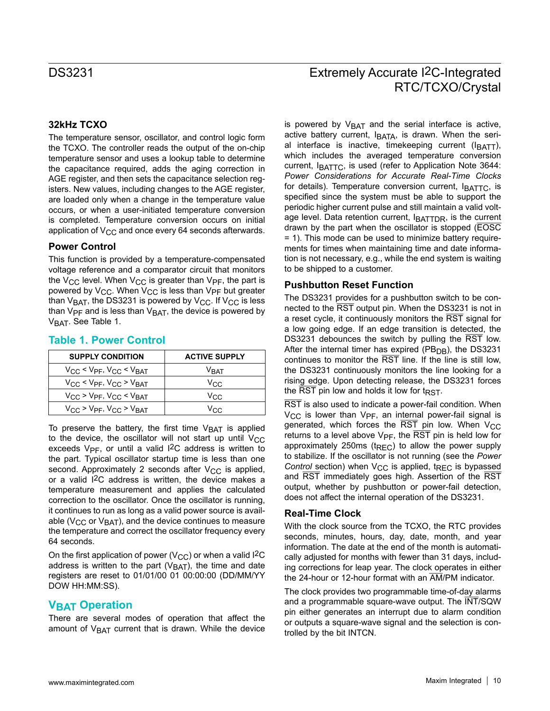#### **32kHz TCXO**

The temperature sensor, oscillator, and control logic form the TCXO. The controller reads the output of the on-chip temperature sensor and uses a lookup table to determine the capacitance required, adds the aging correction in AGE register, and then sets the capacitance selection registers. New values, including changes to the AGE register, are loaded only when a change in the temperature value occurs, or when a user-initiated temperature conversion is completed. Temperature conversion occurs on initial application of  $V_{CC}$  and once every 64 seconds afterwards.

#### **Power Control**

This function is provided by a temperature-compensated voltage reference and a comparator circuit that monitors the V<sub>CC</sub> level. When V<sub>CC</sub> is greater than V<sub>PF</sub>, the part is powered by  $V_{CC}$ . When  $V_{CC}$  is less than  $V_{PF}$  but greater than  $V_{BAT}$ , the DS3231 is powered by  $V_{CC}$ . If  $V_{CC}$  is less than  $V_{PF}$  and is less than  $V_{BAT}$ , the device is powered by  $V<sub>BAT</sub>$ . See Table 1.

| <b>SUPPLY CONDITION</b>                                    | <b>ACTIVE SUPPLY</b> |
|------------------------------------------------------------|----------------------|
| $V_{CC}$ < $V_{PF}$ , $V_{CC}$ < $V_{BAT}$                 | V <sub>BAT</sub>     |
| $V_{\rm CC}$ < $V_{\rm PF}$ , $V_{\rm CC}$ > $V_{\rm BAT}$ | Vcc.                 |
| $V_{CC}$ > $V_{PF}$ , $V_{CC}$ < $V_{BAT}$                 | Vcc.                 |
| $V_{\rm CC}$ > $V_{\rm PF}$ , $V_{\rm CC}$ > $V_{\rm BAT}$ | Vcc                  |

#### **Table 1. Power Control**

To preserve the battery, the first time  $V_{\text{BAT}}$  is applied to the device, the oscillator will not start up until  $V_{CC}$ exceeds  $V_{PF}$ , or until a valid I<sup>2</sup>C address is written to the part. Typical oscillator startup time is less than one second. Approximately 2 seconds after  $V_{CC}$  is applied, or a valid I2C address is written, the device makes a temperature measurement and applies the calculated correction to the oscillator. Once the oscillator is running, it continues to run as long as a valid power source is available ( $V_{CC}$  or  $V_{BAT}$ ), and the device continues to measure the temperature and correct the oscillator frequency every 64 seconds.

On the first application of power ( $V_{CC}$ ) or when a valid I<sup>2</sup>C address is written to the part ( $V<sub>BAT</sub>$ ), the time and date registers are reset to 01/01/00 01 00:00:00 (DD/MM/YY DOW HH:MM:SS).

## **VBAT Operation**

There are several modes of operation that affect the amount of  $V_{\text{BAT}}$  current that is drawn. While the device

is powered by  $V<sub>BAT</sub>$  and the serial interface is active, active battery current,  $I<sub>BATA</sub>$ , is drawn. When the serial interface is inactive, timekeeping current  $(I<sub>BATT</sub>)$ , which includes the averaged temperature conversion current, IBATTC, is used (refer to Application Note 3644: *Power Considerations for Accurate Real-Time Clocks*  for details). Temperature conversion current,  $I<sub>BATTC</sub>$ , is specified since the system must be able to support the periodic higher current pulse and still maintain a valid voltage level. Data retention current,  $I_{\text{BATDR}}$ , is the current drawn by the part when the oscillator is stopped (EOSC = 1). This mode can be used to minimize battery requirements for times when maintaining time and date information is not necessary, e.g., while the end system is waiting to be shipped to a customer.

#### **Pushbutton Reset Function**

The DS3231 provides for a pushbutton switch to be connected to the RST output pin. When the DS3231 is not in a reset cycle, it continuously monitors the RST signal for a low going edge. If an edge transition is detected, the DS3231 debounces the switch by pulling the RST low. After the internal timer has expired ( $PB<sub>DB</sub>$ ), the DS3231 continues to monitor the RST line. If the line is still low, the DS3231 continuously monitors the line looking for a rising edge. Upon detecting release, the DS3231 forces the  $\overline{\text{RST}}$  pin low and holds it low for t $_{\text{RST}}$ .

RST is also used to indicate a power-fail condition. When  $V_{CC}$  is lower than  $V_{PF}$ , an internal power-fail signal is generated, which forces the  $\overline{RST}$  pin low. When  $V_{CC}$ returns to a level above  $V_{PF}$ , the  $\overline{RST}$  pin is held low for approximately 250ms ( $t_{REC}$ ) to allow the power supply to stabilize. If the oscillator is not running (see the *Power Control* section) when V<sub>CC</sub> is applied, t<sub>REC</sub> is bypassed and RST immediately goes high. Assertion of the RST output, whether by pushbutton or power-fail detection, does not affect the internal operation of the DS3231.

#### **Real-Time Clock**

With the clock source from the TCXO, the RTC provides seconds, minutes, hours, day, date, month, and year information. The date at the end of the month is automatically adjusted for months with fewer than 31 days, including corrections for leap year. The clock operates in either the 24-hour or 12-hour format with an AM/PM indicator.

The clock provides two programmable time-of-day alarms and a programmable square-wave output. The INT/SQW pin either generates an interrupt due to alarm condition or outputs a square-wave signal and the selection is controlled by the bit INTCN.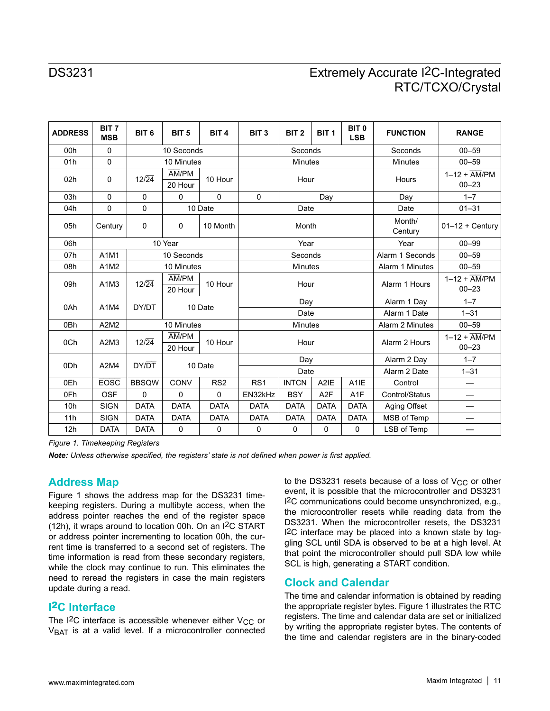| <b>ADDRESS</b>  | BIT <sub>7</sub><br><b>MSB</b> | BIT <sub>6</sub>             | BIT <sub>5</sub>                         | BIT <sub>4</sub> | BIT <sub>3</sub> | BIT <sub>2</sub> | BIT <sub>1</sub> | BIT <sub>0</sub><br><b>LSB</b> | <b>FUNCTION</b>   | <b>RANGE</b>                                      |
|-----------------|--------------------------------|------------------------------|------------------------------------------|------------------|------------------|------------------|------------------|--------------------------------|-------------------|---------------------------------------------------|
| 00h             | $\Omega$                       |                              | 10 Seconds                               |                  |                  | Seconds          |                  |                                | Seconds           | $00 - 59$                                         |
| 01h             | $\mathsf 0$                    |                              | 10 Minutes                               |                  |                  | <b>Minutes</b>   |                  |                                | <b>Minutes</b>    | $00 - 59$                                         |
| 02h             | 0                              | $12\sqrt{24}$                | $\overline{AM}/\overline{PM}$<br>20 Hour | 10 Hour          |                  | Hour             |                  |                                | Hours             | $1-12 + \overline{AM}/PM$<br>$00 - 23$            |
| 03h             | 0                              | 0                            | 0                                        | 0                | $\mathbf 0$      |                  | Day              |                                | Day               | $1 - 7$                                           |
| 04h             | 0                              | $\Omega$                     |                                          | 10 Date          |                  | Date             |                  |                                | Date              | $01 - 31$                                         |
| 05h             | Century                        | $\mathbf 0$                  | $\mathbf{0}$                             | 10 Month         |                  | Month            |                  |                                | Month/<br>Century | $01-12 +$ Century                                 |
| 06h             |                                |                              | 10 Year                                  |                  |                  | Year             |                  |                                | Year              | $00 - 99$                                         |
| 07h             | A1M1                           |                              | 10 Seconds                               |                  |                  | Seconds          |                  |                                | Alarm 1 Seconds   | $00 - 59$                                         |
| 08h             | A1M2                           |                              | 10 Minutes                               |                  |                  | <b>Minutes</b>   |                  |                                | Alarm 1 Minutes   | $00 - 59$                                         |
| 09h             | A1M3                           | $12\sqrt{24}$                | AM/PM<br>20 Hour                         | 10 Hour          |                  | Hour             |                  |                                | Alarm 1 Hours     | $1-12 + \overline{AM}/\overline{PM}$<br>$00 - 23$ |
| 0Ah             | A1M4                           | DY/DT                        |                                          | 10 Date          |                  | Day              |                  |                                | Alarm 1 Day       | $1 - 7$                                           |
|                 |                                |                              |                                          |                  |                  | Date             |                  |                                | Alarm 1 Date      | $1 - 31$                                          |
| 0 <sub>Bh</sub> | A2M2                           | 10 Minutes<br><b>Minutes</b> |                                          |                  |                  | Alarm 2 Minutes  | $00 - 59$        |                                |                   |                                                   |
| 0Ch             | A2M3                           | $12\sqrt{24}$                | AM/PM<br>20 Hour                         | 10 Hour          |                  | Hour             |                  |                                | Alarm 2 Hours     | $1-12 + \overline{AM}/\overline{PM}$<br>$00 - 23$ |
| 0 <sub>Dh</sub> | A2M4                           | DY/DT                        |                                          | 10 Date          |                  | Day              |                  |                                | Alarm 2 Day       | $1 - 7$                                           |
|                 |                                |                              |                                          |                  |                  | Date             |                  |                                | Alarm 2 Date      | $1 - 31$                                          |
| 0Eh             | <b>EOSC</b>                    | <b>BBSQW</b>                 | CONV                                     | RS <sub>2</sub>  | RS <sub>1</sub>  | <b>INTCN</b>     | A2IE             | A <sub>1</sub> IE              | Control           |                                                   |
| 0Fh             | <b>OSF</b>                     | $\mathbf{0}$                 | $\mathbf{0}$                             | 0                | EN32kHz          | <b>BSY</b>       | A <sub>2</sub> F | A <sub>1</sub> F               | Control/Status    |                                                   |
| 10 <sub>h</sub> | <b>SIGN</b>                    | <b>DATA</b>                  | <b>DATA</b>                              | <b>DATA</b>      | <b>DATA</b>      | <b>DATA</b>      | <b>DATA</b>      | <b>DATA</b>                    | Aging Offset      | —                                                 |
| 11h             | <b>SIGN</b>                    | <b>DATA</b>                  | <b>DATA</b>                              | <b>DATA</b>      | <b>DATA</b>      | <b>DATA</b>      | <b>DATA</b>      | <b>DATA</b>                    | MSB of Temp       |                                                   |
| 12h             | <b>DATA</b>                    | <b>DATA</b>                  | $\mathbf 0$                              | 0                | $\mathbf 0$      | 0                | $\mathbf 0$      | 0                              | LSB of Temp       |                                                   |

*Figure 1. Timekeeping Registers*

*Note: Unless otherwise specified, the registers' state is not defined when power is first applied.*

### **Address Map**

Figure 1 shows the address map for the DS3231 timekeeping registers. During a multibyte access, when the address pointer reaches the end of the register space (12h), it wraps around to location 00h. On an I2C START or address pointer incrementing to location 00h, the current time is transferred to a second set of registers. The time information is read from these secondary registers, while the clock may continue to run. This eliminates the need to reread the registers in case the main registers update during a read.

### **I**2**C Interface**

The  $12C$  interface is accessible whenever either  $V_{CC}$  or  $V<sub>BAT</sub>$  is at a valid level. If a microcontroller connected to the DS3231 resets because of a loss of  $V_{CC}$  or other event, it is possible that the microcontroller and DS3231 I2C communications could become unsynchronized, e.g., the microcontroller resets while reading data from the DS3231. When the microcontroller resets, the DS3231 I2C interface may be placed into a known state by toggling SCL until SDA is observed to be at a high level. At that point the microcontroller should pull SDA low while SCL is high, generating a START condition.

### **Clock and Calendar**

The time and calendar information is obtained by reading the appropriate register bytes. Figure 1 illustrates the RTC registers. The time and calendar data are set or initialized by writing the appropriate register bytes. The contents of the time and calendar registers are in the binary-coded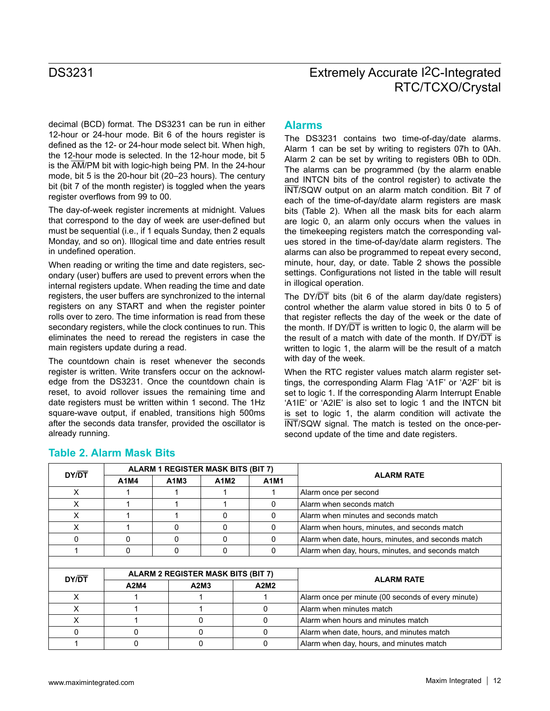decimal (BCD) format. The DS3231 can be run in either 12-hour or 24-hour mode. Bit 6 of the hours register is defined as the 12- or 24-hour mode select bit. When high, the 12-hour mode is selected. In the 12-hour mode, bit 5 is the AM/PM bit with logic-high being PM. In the 24-hour mode, bit 5 is the 20-hour bit (20–23 hours). The century bit (bit 7 of the month register) is toggled when the years register overflows from 99 to 00.

The day-of-week register increments at midnight. Values that correspond to the day of week are user-defined but must be sequential (i.e., if 1 equals Sunday, then 2 equals Monday, and so on). Illogical time and date entries result in undefined operation.

When reading or writing the time and date registers, secondary (user) buffers are used to prevent errors when the internal registers update. When reading the time and date registers, the user buffers are synchronized to the internal registers on any START and when the register pointer rolls over to zero. The time information is read from these secondary registers, while the clock continues to run. This eliminates the need to reread the registers in case the main registers update during a read.

The countdown chain is reset whenever the seconds register is written. Write transfers occur on the acknowledge from the DS3231. Once the countdown chain is reset, to avoid rollover issues the remaining time and date registers must be written within 1 second. The 1Hz square-wave output, if enabled, transitions high 500ms after the seconds data transfer, provided the oscillator is already running.

### **Alarms**

The DS3231 contains two time-of-day/date alarms. Alarm 1 can be set by writing to registers 07h to 0Ah. Alarm 2 can be set by writing to registers 0Bh to 0Dh. The alarms can be programmed (by the alarm enable and INTCN bits of the control register) to activate the INT/SQW output on an alarm match condition. Bit 7 of each of the time-of-day/date alarm registers are mask bits (Table 2). When all the mask bits for each alarm are logic 0, an alarm only occurs when the values in the timekeeping registers match the corresponding values stored in the time-of-day/date alarm registers. The alarms can also be programmed to repeat every second, minute, hour, day, or date. Table 2 shows the possible settings. Configurations not listed in the table will result in illogical operation.

The DY/ $\overline{DT}$  bits (bit 6 of the alarm day/date registers) control whether the alarm value stored in bits 0 to 5 of that register reflects the day of the week or the date of the month. If  $DY/\overline{DT}$  is written to logic 0, the alarm will be the result of a match with date of the month. If  $DY/\overline{DT}$  is written to logic 1, the alarm will be the result of a match with day of the week.

When the RTC register values match alarm register settings, the corresponding Alarm Flag 'A1F' or 'A2F' bit is set to logic 1. If the corresponding Alarm Interrupt Enable 'A1IE' or 'A2IE' is also set to logic 1 and the INTCN bit is set to logic 1, the alarm condition will activate the INT/SQW signal. The match is tested on the once-persecond update of the time and date registers.

| DY/DT |              | <b>ALARM 1 REGISTER MASK BITS (BIT 7)</b> |              |              | <b>ALARM RATE</b>                                  |  |
|-------|--------------|-------------------------------------------|--------------|--------------|----------------------------------------------------|--|
|       | A1M4<br>A1M3 |                                           | A1M2         | A1M1         |                                                    |  |
| X     |              |                                           |              |              | Alarm once per second                              |  |
| X     |              |                                           |              | <sup>0</sup> | Alarm when seconds match                           |  |
| X     |              |                                           | 0            | 0            | Alarm when minutes and seconds match               |  |
| X     |              | O                                         | 0            | 0            | Alarm when hours, minutes, and seconds match       |  |
| 0     | 0            | 0                                         | 0            | 0            | Alarm when date, hours, minutes, and seconds match |  |
|       | 0            | 0                                         | 0            | 0            | Alarm when day, hours, minutes, and seconds match  |  |
|       |              |                                           |              |              |                                                    |  |
| DY/DT |              | ALARM 2 REGISTER MASK BITS (BIT 7)        |              |              | <b>ALARM RATE</b>                                  |  |
|       | A2M4         |                                           | A2M3         | A2M2         |                                                    |  |
| X     |              |                                           |              |              | Alarm once per minute (00 seconds of every minute) |  |
| X     |              |                                           |              | 0            | Alarm when minutes match                           |  |
| X     |              |                                           | <sup>0</sup> | 0            | Alarm when hours and minutes match                 |  |
| 0     | 0            |                                           | 0            | 0            | Alarm when date, hours, and minutes match          |  |
|       | 0            |                                           | 0            | 0            | Alarm when day, hours, and minutes match           |  |

### **Table 2. Alarm Mask Bits**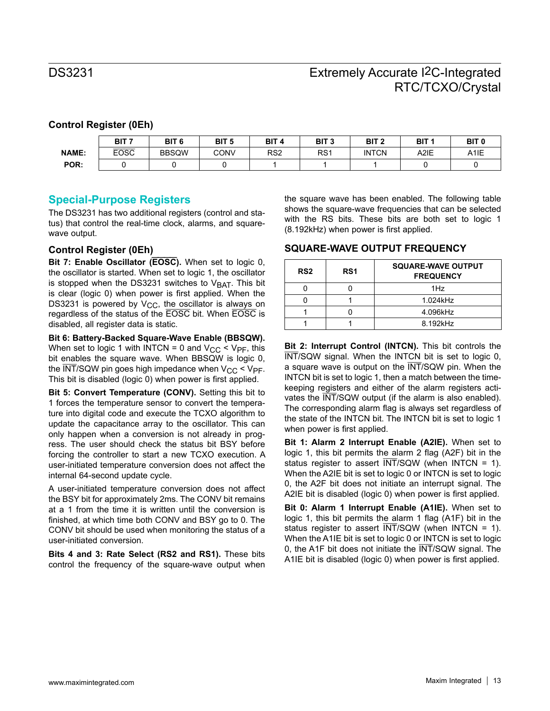### **Control Register (0Eh)**

|              | BIT <sub>7</sub> | BIT <sub>6</sub> | BIT <sub>5</sub> | BIT <sub>4</sub> | BIT <sub>3</sub> | BIT <sub>2</sub> | BIT <sub>1</sub> | BIT <sub>0</sub>  |
|--------------|------------------|------------------|------------------|------------------|------------------|------------------|------------------|-------------------|
| <b>NAME:</b> | <b>EOSC</b>      | <b>BBSQW</b>     | CONV             | RS <sub>2</sub>  | RS <sub>1</sub>  | <b>INTCN</b>     | A2IE             | A <sub>1</sub> IE |
| POR:         |                  |                  |                  |                  |                  |                  |                  |                   |

### **Special-Purpose Registers**

The DS3231 has two additional registers (control and status) that control the real-time clock, alarms, and squarewave output.

#### **Control Register (0Eh)**

**Bit 7: Enable Oscillator (EOSC).** When set to logic 0, the oscillator is started. When set to logic 1, the oscillator is stopped when the DS3231 switches to  $V<sub>BAT</sub>$ . This bit is clear (logic 0) when power is first applied. When the DS3231 is powered by  $V_{CC}$ , the oscillator is always on regardless of the status of the EOSC bit. When EOSC is disabled, all register data is static.

**Bit 6: Battery-Backed Square-Wave Enable (BBSQW).**  When set to logic 1 with INTCN = 0 and  $V_{CC}$  <  $V_{PF}$ , this bit enables the square wave. When BBSQW is logic 0, the  $\overline{\text{INT}}$ /SQW pin goes high impedance when  $V_{CC}$  <  $V_{PF}$ . This bit is disabled (logic 0) when power is first applied.

**Bit 5: Convert Temperature (CONV).** Setting this bit to 1 forces the temperature sensor to convert the temperature into digital code and execute the TCXO algorithm to update the capacitance array to the oscillator. This can only happen when a conversion is not already in progress. The user should check the status bit BSY before forcing the controller to start a new TCXO execution. A user-initiated temperature conversion does not affect the internal 64-second update cycle.

A user-initiated temperature conversion does not affect the BSY bit for approximately 2ms. The CONV bit remains at a 1 from the time it is written until the conversion is finished, at which time both CONV and BSY go to 0. The CONV bit should be used when monitoring the status of a user-initiated conversion.

**Bits 4 and 3: Rate Select (RS2 and RS1).** These bits control the frequency of the square-wave output when

the square wave has been enabled. The following table shows the square-wave frequencies that can be selected with the RS bits. These bits are both set to logic 1 (8.192kHz) when power is first applied.

#### **SQUARE-WAVE OUTPUT FREQUENCY**

| RS <sub>2</sub> | RS <sub>1</sub> | SQUARE-WAVE OUTPUT<br><b>FREQUENCY</b> |
|-----------------|-----------------|----------------------------------------|
|                 |                 | 1Hz                                    |
|                 |                 | 1.024kHz                               |
|                 |                 | 4.096kHz                               |
|                 |                 | 8.192kHz                               |

**Bit 2: Interrupt Control (INTCN).** This bit controls the INT/SQW signal. When the INTCN bit is set to logic 0, a square wave is output on the INT/SQW pin. When the INTCN bit is set to logic 1, then a match between the timekeeping registers and either of the alarm registers activates the INT/SQW output (if the alarm is also enabled). The corresponding alarm flag is always set regardless of the state of the INTCN bit. The INTCN bit is set to logic 1 when power is first applied.

**Bit 1: Alarm 2 Interrupt Enable (A2IE).** When set to logic 1, this bit permits the alarm 2 flag (A2F) bit in the status register to assert  $\overline{\text{INT}}$ /SQW (when INTCN = 1). When the A2IE bit is set to logic 0 or INTCN is set to logic 0, the A2F bit does not initiate an interrupt signal. The A2IE bit is disabled (logic 0) when power is first applied.

**Bit 0: Alarm 1 Interrupt Enable (A1IE).** When set to logic 1, this bit permits the alarm 1 flag (A1F) bit in the status register to assert  $\overline{\text{INT}}$ /SQW (when INTCN = 1). When the A1IE bit is set to logic 0 or INTCN is set to logic 0, the A1F bit does not initiate the INT/SQW signal. The A1IE bit is disabled (logic 0) when power is first applied.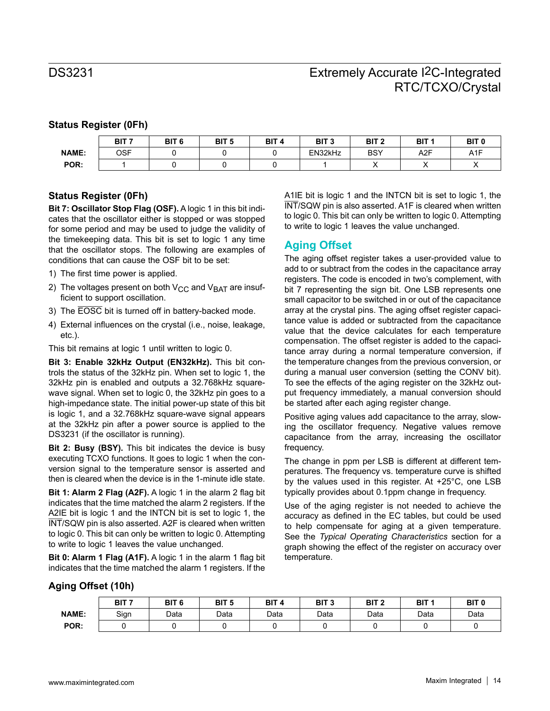### **Status Register (0Fh)**

|              | דום<br>6H<br>--- - | BIT <sub>6</sub> | BIT <sub>5</sub> | BIT <sub>4</sub> | BIT <sub>3</sub> | BIT <sub>2</sub> | <b>BIT</b> | BIT <sub>0</sub> |
|--------------|--------------------|------------------|------------------|------------------|------------------|------------------|------------|------------------|
| <b>NAME:</b> | <b>OSF</b>         |                  |                  |                  | EN32kHz          | <b>BSY</b>       | A2F        | A <sub>1</sub> F |
| POR:         |                    |                  |                  |                  |                  |                  | ,,         |                  |

### **Status Register (0Fh)**

**Bit 7: Oscillator Stop Flag (OSF).** A logic 1 in this bit indicates that the oscillator either is stopped or was stopped for some period and may be used to judge the validity of the timekeeping data. This bit is set to logic 1 any time that the oscillator stops. The following are examples of conditions that can cause the OSF bit to be set:

- 1) The first time power is applied.
- 2) The voltages present on both  $V_{CC}$  and  $V_{BAT}$  are insufficient to support oscillation.
- 3) The EOSC bit is turned off in battery-backed mode.
- 4) External influences on the crystal (i.e., noise, leakage, etc.).

This bit remains at logic 1 until written to logic 0.

**Bit 3: Enable 32kHz Output (EN32kHz).** This bit controls the status of the 32kHz pin. When set to logic 1, the 32kHz pin is enabled and outputs a 32.768kHz squarewave signal. When set to logic 0, the 32kHz pin goes to a high-impedance state. The initial power-up state of this bit is logic 1, and a 32.768kHz square-wave signal appears at the 32kHz pin after a power source is applied to the DS3231 (if the oscillator is running).

**Bit 2: Busy (BSY).** This bit indicates the device is busy executing TCXO functions. It goes to logic 1 when the conversion signal to the temperature sensor is asserted and then is cleared when the device is in the 1-minute idle state.

**Bit 1: Alarm 2 Flag (A2F).** A logic 1 in the alarm 2 flag bit indicates that the time matched the alarm 2 registers. If the A2IE bit is logic 1 and the INTCN bit is set to logic 1, the INT/SQW pin is also asserted. A2F is cleared when written to logic 0. This bit can only be written to logic 0. Attempting to write to logic 1 leaves the value unchanged.

**Bit 0: Alarm 1 Flag (A1F).** A logic 1 in the alarm 1 flag bit indicates that the time matched the alarm 1 registers. If the

A1IE bit is logic 1 and the INTCN bit is set to logic 1, the INT/SQW pin is also asserted. A1F is cleared when written to logic 0. This bit can only be written to logic 0. Attempting to write to logic 1 leaves the value unchanged.

### **Aging Offset**

The aging offset register takes a user-provided value to add to or subtract from the codes in the capacitance array registers. The code is encoded in two's complement, with bit 7 representing the sign bit. One LSB represents one small capacitor to be switched in or out of the capacitance array at the crystal pins. The aging offset register capacitance value is added or subtracted from the capacitance value that the device calculates for each temperature compensation. The offset register is added to the capacitance array during a normal temperature conversion, if the temperature changes from the previous conversion, or during a manual user conversion (setting the CONV bit). To see the effects of the aging register on the 32kHz output frequency immediately, a manual conversion should be started after each aging register change.

Positive aging values add capacitance to the array, slowing the oscillator frequency. Negative values remove capacitance from the array, increasing the oscillator frequency.

The change in ppm per LSB is different at different temperatures. The frequency vs. temperature curve is shifted by the values used in this register. At +25°C, one LSB typically provides about 0.1ppm change in frequency.

Use of the aging register is not needed to achieve the accuracy as defined in the EC tables, but could be used to help compensate for aging at a given temperature. See the *Typical Operating Characteristics* section for a graph showing the effect of the register on accuracy over temperature.

#### **Aging Offset (10h)**

|              | BIT <sub>7</sub> | BIT <sub>6</sub> | BIT <sub>5</sub> | BIT <sub>4</sub> | BIT <sub>3</sub> | BIT <sub>2</sub> | BIT <sub>1</sub> | BIT <sub>0</sub> |
|--------------|------------------|------------------|------------------|------------------|------------------|------------------|------------------|------------------|
| <b>NAME:</b> | Sign             | Data             | Data             | Data             | Data             | Data             | Data             | Data             |
| POR:         |                  |                  |                  |                  |                  |                  |                  |                  |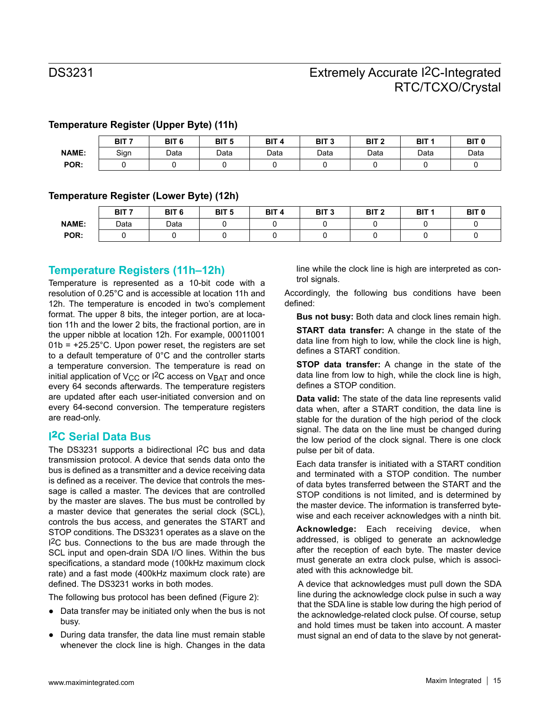|              | BIT <sub>7</sub> | BIT <sub>6</sub> | BIT <sub>5</sub> | BIT <sub>4</sub> | BIT <sub>3</sub> | BIT <sub>2</sub> | BIT <sub>1</sub> | BIT <sub>0</sub> |
|--------------|------------------|------------------|------------------|------------------|------------------|------------------|------------------|------------------|
| <b>NAME:</b> | Sign             | Data             | Data             | Data             | Data             | Data             | Data             | Data             |
| POR:         |                  |                  |                  |                  |                  |                  |                  |                  |

#### **Temperature Register (Upper Byte) (11h)**

#### **Temperature Register (Lower Byte) (12h)**

|              | BIT <sub>7</sub> | BIT <sub>6</sub> | BIT <sub>5</sub> | BIT <sub>4</sub> | BIT <sub>3</sub> | BIT <sub>2</sub> | BIT <sub>1</sub> | BIT <sub>0</sub> |
|--------------|------------------|------------------|------------------|------------------|------------------|------------------|------------------|------------------|
| <b>NAME:</b> | Data             | Data             |                  |                  |                  |                  |                  |                  |
| POR:         |                  |                  |                  |                  |                  |                  |                  |                  |

### **Temperature Registers (11h–12h)**

Temperature is represented as a 10-bit code with a resolution of 0.25°C and is accessible at location 11h and 12h. The temperature is encoded in two's complement format. The upper 8 bits, the integer portion, are at location 11h and the lower 2 bits, the fractional portion, are in the upper nibble at location 12h. For example, 00011001  $01b = +25.25^{\circ}$ C. Upon power reset, the registers are set to a default temperature of 0°C and the controller starts a temperature conversion. The temperature is read on initial application of  $V_{CC}$  or I<sup>2</sup>C access on  $V_{BAT}$  and once every 64 seconds afterwards. The temperature registers are updated after each user-initiated conversion and on every 64-second conversion. The temperature registers are read-only.

### **I**2**C Serial Data Bus**

The DS3231 supports a bidirectional I<sup>2</sup>C bus and data transmission protocol. A device that sends data onto the bus is defined as a transmitter and a device receiving data is defined as a receiver. The device that controls the message is called a master. The devices that are controlled by the master are slaves. The bus must be controlled by a master device that generates the serial clock (SCL), controls the bus access, and generates the START and STOP conditions. The DS3231 operates as a slave on the I2C bus. Connections to the bus are made through the SCL input and open-drain SDA I/O lines. Within the bus specifications, a standard mode (100kHz maximum clock rate) and a fast mode (400kHz maximum clock rate) are defined. The DS3231 works in both modes.

The following bus protocol has been defined (Figure 2):

- Data transfer may be initiated only when the bus is not busy.
- During data transfer, the data line must remain stable whenever the clock line is high. Changes in the data

line while the clock line is high are interpreted as control signals.

Accordingly, the following bus conditions have been defined:

**Bus not busy:** Both data and clock lines remain high.

**START data transfer:** A change in the state of the data line from high to low, while the clock line is high, defines a START condition.

**STOP data transfer:** A change in the state of the data line from low to high, while the clock line is high, defines a STOP condition.

**Data valid:** The state of the data line represents valid data when, after a START condition, the data line is stable for the duration of the high period of the clock signal. The data on the line must be changed during the low period of the clock signal. There is one clock pulse per bit of data.

Each data transfer is initiated with a START condition and terminated with a STOP condition. The number of data bytes transferred between the START and the STOP conditions is not limited, and is determined by the master device. The information is transferred bytewise and each receiver acknowledges with a ninth bit.

**Acknowledge:** Each receiving device, when addressed, is obliged to generate an acknowledge after the reception of each byte. The master device must generate an extra clock pulse, which is associated with this acknowledge bit.

A device that acknowledges must pull down the SDA line during the acknowledge clock pulse in such a way that the SDA line is stable low during the high period of the acknowledge-related clock pulse. Of course, setup and hold times must be taken into account. A master must signal an end of data to the slave by not generat-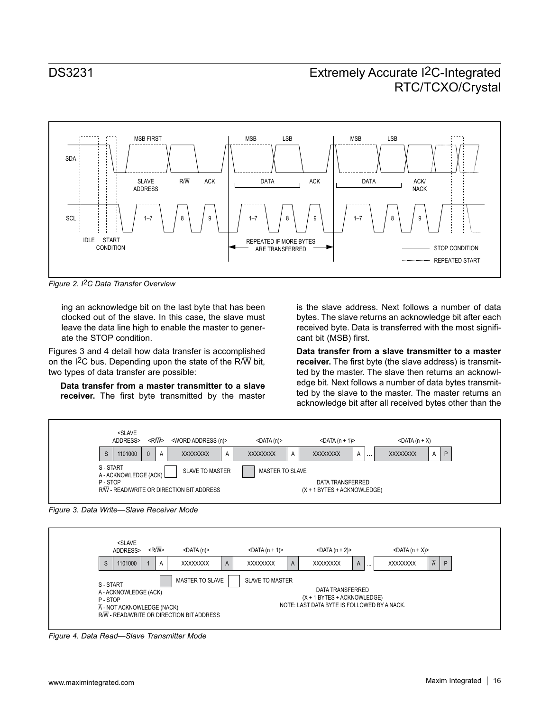

*Figure 2. I2C Data Transfer Overview*

ing an acknowledge bit on the last byte that has been clocked out of the slave. In this case, the slave must leave the data line high to enable the master to generate the STOP condition.

Figures 3 and 4 detail how data transfer is accomplished on the I<sup>2</sup>C bus. Depending upon the state of the R/W bit, two types of data transfer are possible:

**Data transfer from a master transmitter to a slave receiver.** The first byte transmitted by the master

is the slave address. Next follows a number of data bytes. The slave returns an acknowledge bit after each received byte. Data is transferred with the most significant bit (MSB) first.

**Data transfer from a slave transmitter to a master receiver.** The first byte (the slave address) is transmitted by the master. The slave then returns an acknowledge bit. Next follows a number of data bytes transmitted by the slave to the master. The master returns an acknowledge bit after all received bytes other than the







*Figure 4. Data Read—Slave Transmitter Mode*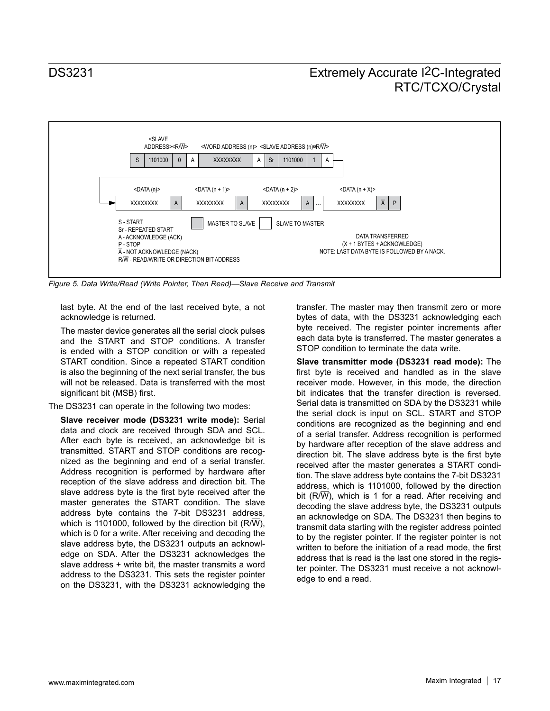

*Figure 5. Data Write/Read (Write Pointer, Then Read)—Slave Receive and Transmit*

last byte. At the end of the last received byte, a not acknowledge is returned.

The master device generates all the serial clock pulses and the START and STOP conditions. A transfer is ended with a STOP condition or with a repeated START condition. Since a repeated START condition is also the beginning of the next serial transfer, the bus will not be released. Data is transferred with the most significant bit (MSB) first.

The DS3231 can operate in the following two modes:

**Slave receiver mode (DS3231 write mode):** Serial data and clock are received through SDA and SCL. After each byte is received, an acknowledge bit is transmitted. START and STOP conditions are recognized as the beginning and end of a serial transfer. Address recognition is performed by hardware after reception of the slave address and direction bit. The slave address byte is the first byte received after the master generates the START condition. The slave address byte contains the 7-bit DS3231 address, which is 1101000, followed by the direction bit ( $R/\overline{W}$ ), which is 0 for a write. After receiving and decoding the slave address byte, the DS3231 outputs an acknowledge on SDA. After the DS3231 acknowledges the slave address + write bit, the master transmits a word address to the DS3231. This sets the register pointer on the DS3231, with the DS3231 acknowledging the

transfer. The master may then transmit zero or more bytes of data, with the DS3231 acknowledging each byte received. The register pointer increments after each data byte is transferred. The master generates a STOP condition to terminate the data write.

**Slave transmitter mode (DS3231 read mode):** The first byte is received and handled as in the slave receiver mode. However, in this mode, the direction bit indicates that the transfer direction is reversed. Serial data is transmitted on SDA by the DS3231 while the serial clock is input on SCL. START and STOP conditions are recognized as the beginning and end of a serial transfer. Address recognition is performed by hardware after reception of the slave address and direction bit. The slave address byte is the first byte received after the master generates a START condition. The slave address byte contains the 7-bit DS3231 address, which is 1101000, followed by the direction bit  $(R/\overline{W})$ , which is 1 for a read. After receiving and decoding the slave address byte, the DS3231 outputs an acknowledge on SDA. The DS3231 then begins to transmit data starting with the register address pointed to by the register pointer. If the register pointer is not written to before the initiation of a read mode, the first address that is read is the last one stored in the register pointer. The DS3231 must receive a not acknowledge to end a read.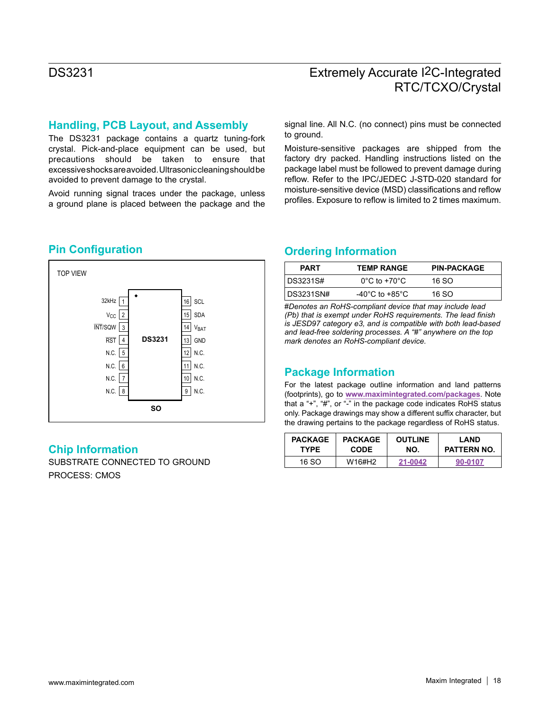### **Handling, PCB Layout, and Assembly**

The DS3231 package contains a quartz tuning-fork crystal. Pick-and-place equipment can be used, but precautions should be taken to ensure that excessive shocks are avoided. Ultrasonic cleaning should be avoided to prevent damage to the crystal.

Avoid running signal traces under the package, unless a ground plane is placed between the package and the signal line. All N.C. (no connect) pins must be connected to ground.

Moisture-sensitive packages are shipped from the factory dry packed. Handling instructions listed on the package label must be followed to prevent damage during reflow. Refer to the IPC/JEDEC J-STD-020 standard for moisture-sensitive device (MSD) classifications and reflow profiles. Exposure to reflow is limited to 2 times maximum.



### **Chip Information**

SUBSTRATE CONNECTED TO GROUND PROCESS: CMOS

## **Pin Configuration Configuration Configuration**

| <b>PART</b> | <b>TEMP RANGE</b>                    | <b>PIN-PACKAGE</b> |
|-------------|--------------------------------------|--------------------|
| DS3231S#    | $0^{\circ}$ C to +70 $^{\circ}$ C    | 16.SO              |
| DS3231SN#   | -40 $^{\circ}$ C to +85 $^{\circ}$ C | 16.SO              |

#*Denotes an RoHS-compliant device that may include lead (Pb) that is exempt under RoHS requirements. The lead finish is JESD97 category e3, and is compatible with both lead-based and lead-free soldering processes. A "#" anywhere on the top mark denotes an RoHS-compliant device.*

### **Package Information**

For the latest package outline information and land patterns (footprints), go to **[www.maximintegrated.com/packages](http://www.maximintegrated.com/packages)**. Note that a "+", "#", or "-" in the package code indicates RoHS status only. Package drawings may show a different suffix character, but the drawing pertains to the package regardless of RoHS status.

| <b>PACKAGE</b> | <b>PACKAGE</b> | <b>OUTLINE</b> | LAND               |
|----------------|----------------|----------------|--------------------|
| <b>TYPE</b>    | <b>CODE</b>    | NO.            | <b>PATTERN NO.</b> |
| 16.SO          | W16#H2         | 21-0042        | 90-0107            |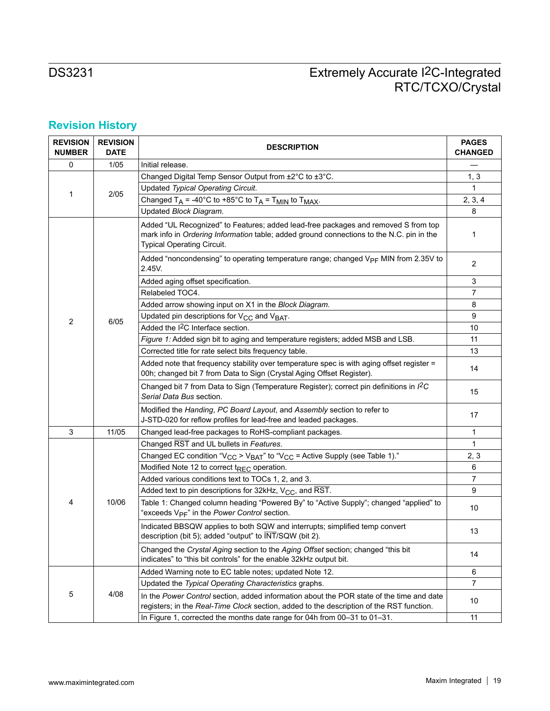# **Revision History**

| <b>REVISION</b><br><b>NUMBER</b> | <b>REVISION</b><br><b>DATE</b> | <b>DESCRIPTION</b>                                                                                                                                                                                                  | <b>PAGES</b><br><b>CHANGED</b> |
|----------------------------------|--------------------------------|---------------------------------------------------------------------------------------------------------------------------------------------------------------------------------------------------------------------|--------------------------------|
| 0                                | 1/05                           | Initial release.                                                                                                                                                                                                    |                                |
| 1                                |                                | Changed Digital Temp Sensor Output from ±2°C to ±3°C.                                                                                                                                                               | 1, 3                           |
|                                  |                                | Updated Typical Operating Circuit.                                                                                                                                                                                  | 1                              |
|                                  | 2/05                           | Changed $T_A$ = -40°C to +85°C to $T_A$ = $T_{MIN}$ to $T_{MAX}$ .                                                                                                                                                  | 2, 3, 4                        |
|                                  |                                | Updated Block Diagram.                                                                                                                                                                                              | 8                              |
|                                  |                                | Added "UL Recognized" to Features; added lead-free packages and removed S from top<br>mark info in Ordering Information table; added ground connections to the N.C. pin in the<br><b>Typical Operating Circuit.</b> | 1                              |
|                                  |                                | Added "noncondensing" to operating temperature range; changed $V_{PF}$ MIN from 2.35V to<br>2.45V.                                                                                                                  | $\overline{2}$                 |
| 2                                |                                | Added aging offset specification.                                                                                                                                                                                   | 3                              |
|                                  |                                | Relabeled TOC4.                                                                                                                                                                                                     | $\overline{7}$                 |
|                                  |                                | Added arrow showing input on X1 in the Block Diagram.                                                                                                                                                               | 8                              |
|                                  | 6/05                           | Updated pin descriptions for V <sub>CC</sub> and V <sub>BAT</sub> .                                                                                                                                                 | 9                              |
|                                  |                                | Added the I <sup>2</sup> C Interface section.                                                                                                                                                                       | 10                             |
|                                  |                                | Figure 1: Added sign bit to aging and temperature registers; added MSB and LSB.                                                                                                                                     | 11                             |
|                                  |                                | Corrected title for rate select bits frequency table.                                                                                                                                                               | 13                             |
|                                  |                                | Added note that frequency stability over temperature spec is with aging offset register =<br>00h; changed bit 7 from Data to Sign (Crystal Aging Offset Register).                                                  | 14                             |
|                                  |                                | Changed bit 7 from Data to Sign (Temperature Register); correct pin definitions in I <sup>2</sup> C<br>Serial Data Bus section.                                                                                     | 15                             |
|                                  |                                | Modified the Handing, PC Board Layout, and Assembly section to refer to<br>J-STD-020 for reflow profiles for lead-free and leaded packages.                                                                         | 17                             |
| 3                                | 11/05                          | Changed lead-free packages to RoHS-compliant packages.                                                                                                                                                              | 1                              |
|                                  |                                | Changed RST and UL bullets in Features.                                                                                                                                                                             | 1                              |
|                                  |                                | Changed EC condition "V <sub>CC</sub> > V <sub>BAT</sub> " to "V <sub>CC</sub> = Active Supply (see Table 1)."                                                                                                      | 2, 3                           |
|                                  |                                | Modified Note 12 to correct t <sub>REC</sub> operation.                                                                                                                                                             | 6                              |
|                                  |                                | Added various conditions text to TOCs 1, 2, and 3.                                                                                                                                                                  | $\overline{7}$                 |
|                                  |                                | Added text to pin descriptions for 32kHz, $V_{CC}$ , and $\overline{RST}$ .                                                                                                                                         | 9                              |
| 4                                | 10/06                          | Table 1: Changed column heading "Powered By" to "Active Supply"; changed "applied" to<br>"exceeds V <sub>PF</sub> " in the Power Control section.                                                                   | 10                             |
|                                  |                                | Indicated BBSQW applies to both SQW and interrupts; simplified temp convert<br>description (bit 5); added "output" to INT/SQW (bit 2).                                                                              | 13                             |
|                                  |                                | Changed the Crystal Aging section to the Aging Offset section; changed "this bit<br>indicates" to "this bit controls" for the enable 32kHz output bit.                                                              | 14                             |
|                                  |                                | Added Warning note to EC table notes; updated Note 12.                                                                                                                                                              | 6                              |
|                                  |                                | Updated the Typical Operating Characteristics graphs.                                                                                                                                                               | $\overline{7}$                 |
| 5                                | 4/08                           | In the Power Control section, added information about the POR state of the time and date<br>registers; in the Real-Time Clock section, added to the description of the RST function.                                | 10                             |
|                                  |                                | In Figure 1, corrected the months date range for 04h from 00-31 to 01-31.                                                                                                                                           | 11                             |